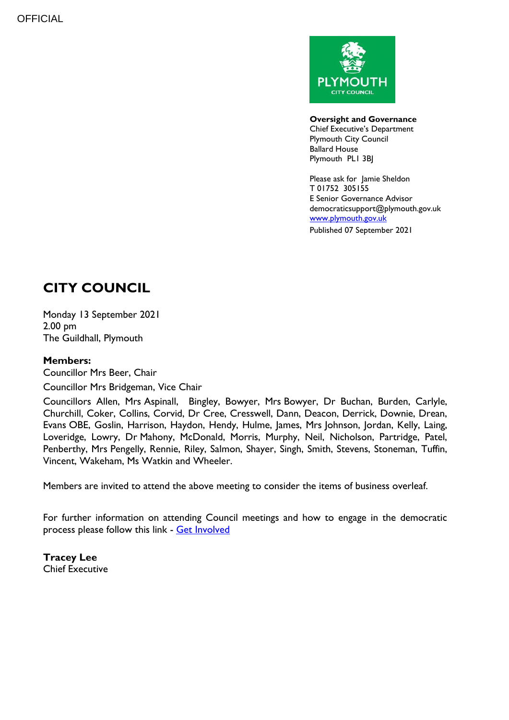

**Oversight and Governance** Chief Executive's Department Plymouth City Council Ballard House Plymouth PL1 3BJ

Please ask for Jamie Sheldon T 01752 305155 E Senior Governance Advisor democraticsupport@plymouth.gov.uk [www.plymouth.gov.uk](https://www.plymouth.gov.uk/councillorscommitteesandmeetings) Published 07 September 2021

# **CITY COUNCIL**

Monday 13 September 2021 2.00 pm The Guildhall, Plymouth

### **Members:**

Councillor Mrs Beer, Chair

Councillor Mrs Bridgeman, Vice Chair

Councillors Allen, Mrs Aspinall, Bingley, Bowyer, Mrs Bowyer, Dr Buchan, Burden, Carlyle, Churchill, Coker, Collins, Corvid, Dr Cree, Cresswell, Dann, Deacon, Derrick, Downie, Drean, Evans OBE, Goslin, Harrison, Haydon, Hendy, Hulme, James, Mrs Johnson, Jordan, Kelly, Laing, Loveridge, Lowry, Dr Mahony, McDonald, Morris, Murphy, Neil, Nicholson, Partridge, Patel, Penberthy, Mrs Pengelly, Rennie, Riley, Salmon, Shayer, Singh, Smith, Stevens, Stoneman, Tuffin, Vincent, Wakeham, Ms Watkin and Wheeler.

Members are invited to attend the above meeting to consider the items of business overleaf.

For further information on attending Council meetings and how to engage in the democratic process please follow this link - [Get Involved](https://www.plymouth.gov.uk/councillorscommitteesandmeetings/getinvolved)

**Tracey Lee** Chief Executive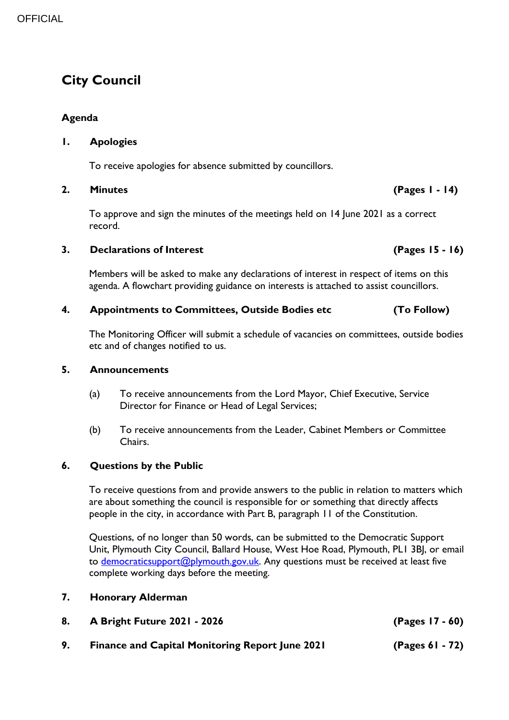# **City Council**

### **Agenda**

### **1. Apologies**

To receive apologies for absence submitted by councillors.

#### **2. Minutes (Pages 1 - 14)**

To approve and sign the minutes of the meetings held on 14 June 2021 as a correct record.

#### **3. Declarations of Interest (Pages 15 - 16)**

Members will be asked to make any declarations of interest in respect of items on this agenda. A flowchart providing guidance on interests is attached to assist councillors.

### **4. Appointments to Committees, Outside Bodies etc (To Follow)**

The Monitoring Officer will submit a schedule of vacancies on committees, outside bodies etc and of changes notified to us.

### **5. Announcements**

- (a) To receive announcements from the Lord Mayor, Chief Executive, Service Director for Finance or Head of Legal Services;
- (b) To receive announcements from the Leader, Cabinet Members or Committee Chairs.

### **6. Questions by the Public**

To receive questions from and provide answers to the public in relation to matters which are about something the council is responsible for or something that directly affects people in the city, in accordance with Part B, paragraph 11 of the Constitution.

Questions, of no longer than 50 words, can be submitted to the Democratic Support Unit, Plymouth City Council, Ballard House, West Hoe Road, Plymouth, PL1 3BJ, or email to [democraticsupport@plymouth.gov.uk.](mailto:DEMOCRATICSUPPORT@PLYMOUTH.GOV.UK) Any questions must be received at least five complete working days before the meeting.

- **7. Honorary Alderman**
- **8. A Bright Future 2021 - 2026 (Pages 17 - 60)**
- **9. Finance and Capital Monitoring Report June 2021 (Pages 61 - 72)**